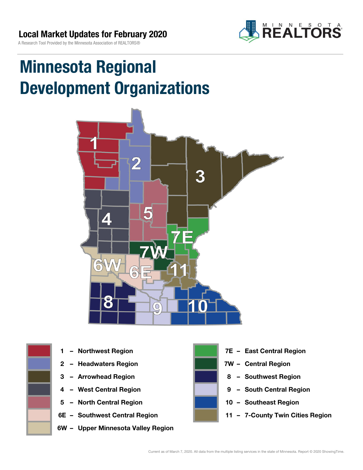

# Minnesota Regional Development Organizations







- 2 Headwaters Region **1988 7W Central Region**
- 
- 
- 5 North Central Region 10 Southeast Region
- 
- 6W Upper Minnesota Valley Region



- 1 Northwest Region **1 1999 12 Property Contral Region** 
	-
- 3 Arrowhead Region **8 Southwest Region**
- 4 West Central Region **19 South Central Region** 
	-
- 6E Southwest Central Region 11 7-County Twin Cities Region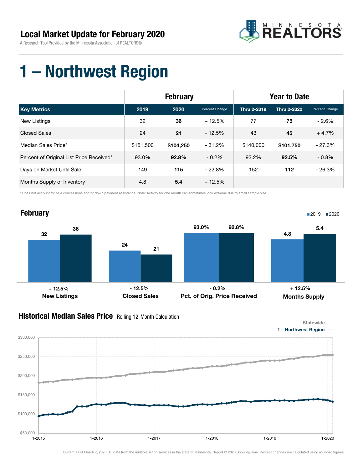

### 1 – Northwest Region

|                                          | <b>February</b> |           |                | <b>Year to Date</b> |             |                |
|------------------------------------------|-----------------|-----------|----------------|---------------------|-------------|----------------|
| <b>Key Metrics</b>                       | 2019            | 2020      | Percent Change | Thru 2-2019         | Thru 2-2020 | Percent Change |
| New Listings                             | 32              | 36        | $+12.5%$       | 77                  | 75          | $-2.6%$        |
| <b>Closed Sales</b>                      | 24              | 21        | $-12.5%$       | 43                  | 45          | $+4.7%$        |
| Median Sales Price*                      | \$151,500       | \$104,250 | $-31.2\%$      | \$140,000           | \$101,750   | $-27.3%$       |
| Percent of Original List Price Received* | 93.0%           | 92.8%     | $-0.2\%$       | 93.2%               | 92.5%       | $-0.8\%$       |
| Days on Market Until Sale                | 149             | 115       | $-22.8%$       | 152                 | 112         | $-26.3%$       |
| Months Supply of Inventory               | 4.8             | 5.4       | $+12.5%$       | --                  | --          | $- -$          |

\* Does not account for sale concessions and/or down payment assistance. Note: Activity for one month can sometimes look extreme due to small sample size.



### **Historical Median Sales Price** Rolling 12-Month Calculation

\$50,000

\$100,000

\$150,000

\$200,000

\$250,000

\$300,000

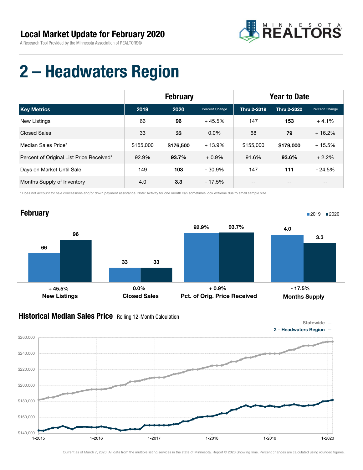

## 2 – Headwaters Region

|                                          | <b>February</b> |           |                | <b>Year to Date</b> |                    |                |
|------------------------------------------|-----------------|-----------|----------------|---------------------|--------------------|----------------|
| <b>Key Metrics</b>                       | 2019            | 2020      | Percent Change | Thru 2-2019         | <b>Thru 2-2020</b> | Percent Change |
| New Listings                             | 66              | 96        | $+45.5%$       | 147                 | 153                | $+4.1%$        |
| <b>Closed Sales</b>                      | 33              | 33        | $0.0\%$        | 68                  | 79                 | $+16.2%$       |
| Median Sales Price*                      | \$155,000       | \$176,500 | $+13.9%$       | \$155,000           | \$179,000          | $+15.5%$       |
| Percent of Original List Price Received* | 92.9%           | 93.7%     | $+0.9\%$       | 91.6%               | 93.6%              | $+2.2%$        |
| Days on Market Until Sale                | 149             | 103       | $-30.9%$       | 147                 | 111                | $-24.5%$       |
| Months Supply of Inventory               | 4.0             | 3.3       | $-17.5%$       | --                  | --                 | $- -$          |

\* Does not account for sale concessions and/or down payment assistance. Note: Activity for one month can sometimes look extreme due to small sample size.



#### **Historical Median Sales Price** Rolling 12-Month Calculation

\$140,000

\$160,000

\$180,000

\$200,000

\$220,000

\$240,000

\$260,000



Current as of March 7, 2020. All data from the multiple listing services in the state of Minnesota. Report © 2020 ShowingTime. Percent changes are calculated using rounded figures.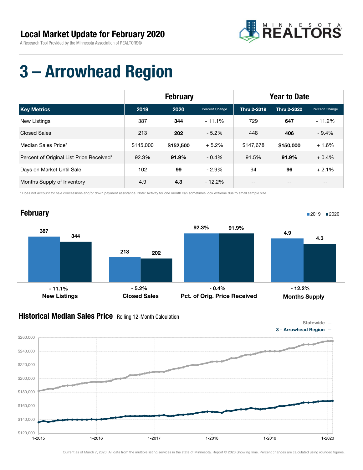

## 3 – Arrowhead Region

|                                          | <b>February</b> |           |                | <b>Year to Date</b> |                    |                |
|------------------------------------------|-----------------|-----------|----------------|---------------------|--------------------|----------------|
| <b>Key Metrics</b>                       | 2019            | 2020      | Percent Change | Thru 2-2019         | <b>Thru 2-2020</b> | Percent Change |
| <b>New Listings</b>                      | 387             | 344       | $-11.1%$       | 729                 | 647                | $-11.2%$       |
| <b>Closed Sales</b>                      | 213             | 202       | $-5.2%$        | 448                 | 406                | $-9.4%$        |
| Median Sales Price*                      | \$145,000       | \$152,500 | $+5.2%$        | \$147.678           | \$150,000          | $+1.6%$        |
| Percent of Original List Price Received* | 92.3%           | 91.9%     | $-0.4%$        | 91.5%               | 91.9%              | $+0.4%$        |
| Days on Market Until Sale                | 102             | 99        | $-2.9%$        | 94                  | 96                 | $+2.1%$        |
| Months Supply of Inventory               | 4.9             | 4.3       | $-12.2%$       | --                  | --                 | $- -$          |

\* Does not account for sale concessions and/or down payment assistance. Note: Activity for one month can sometimes look extreme due to small sample size.



#### Historical Median Sales Price Rolling 12-Month Calculation

\$120,000

\$140,000

\$160,000

\$180,000

\$200,000

\$220,000

\$240,000

\$260,000





Current as of March 7, 2020. All data from the multiple listing services in the state of Minnesota. Report © 2020 ShowingTime. Percent changes are calculated using rounded figures.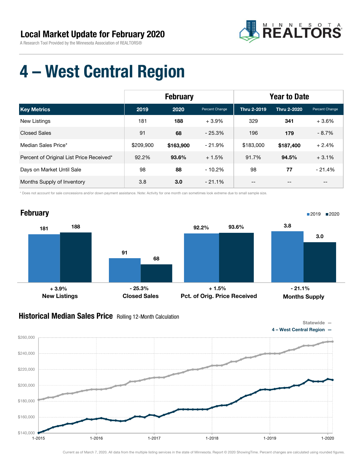

## 4 – West Central Region

|                                          | <b>February</b> |           |                | <b>Year to Date</b> |                    |                |
|------------------------------------------|-----------------|-----------|----------------|---------------------|--------------------|----------------|
| <b>Key Metrics</b>                       | 2019            | 2020      | Percent Change | <b>Thru 2-2019</b>  | <b>Thru 2-2020</b> | Percent Change |
| New Listings                             | 181             | 188       | $+3.9\%$       | 329                 | 341                | $+3.6%$        |
| Closed Sales                             | 91              | 68        | $-25.3%$       | 196                 | 179                | $-8.7%$        |
| Median Sales Price*                      | \$209,900       | \$163,900 | $-21.9%$       | \$183,000           | \$187,400          | $+2.4%$        |
| Percent of Original List Price Received* | 92.2%           | 93.6%     | $+1.5%$        | 91.7%               | 94.5%              | $+3.1%$        |
| Days on Market Until Sale                | 98              | 88        | $-10.2%$       | 98                  | 77                 | $-21.4%$       |
| Months Supply of Inventory               | 3.8             | 3.0       | $-21.1\%$      | --                  | $- -$              | $- -$          |

\* Does not account for sale concessions and/or down payment assistance. Note: Activity for one month can sometimes look extreme due to small sample size.



### Historical Median Sales Price Rolling 12-Month Calculation

\$200,000

\$220,000

\$240,000

\$260,000



\$140,000 \$160,000 \$180,000 1-2015 1-2016 1-2017 1-2018 1-2019 1-2020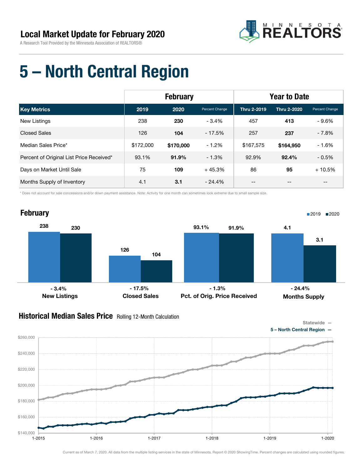

### 5 – North Central Region

|                                          | <b>February</b> |           |                | <b>Year to Date</b> |             |                |
|------------------------------------------|-----------------|-----------|----------------|---------------------|-------------|----------------|
| <b>Key Metrics</b>                       | 2019            | 2020      | Percent Change | Thru 2-2019         | Thru 2-2020 | Percent Change |
| <b>New Listings</b>                      | 238             | 230       | $-3.4\%$       | 457                 | 413         | $-9.6%$        |
| <b>Closed Sales</b>                      | 126             | 104       | $-17.5%$       | 257                 | 237         | $-7.8%$        |
| Median Sales Price*                      | \$172,000       | \$170,000 | $-1.2%$        | \$167,575           | \$164,950   | $-1.6%$        |
| Percent of Original List Price Received* | 93.1%           | 91.9%     | $-1.3%$        | 92.9%               | 92.4%       | $-0.5%$        |
| Days on Market Until Sale                | 75              | 109       | $+45.3%$       | 86                  | 95          | $+10.5%$       |
| Months Supply of Inventory               | 4.1             | 3.1       | $-24.4%$       | --                  | --          | $- -$          |

\* Does not account for sale concessions and/or down payment assistance. Note: Activity for one month can sometimes look extreme due to small sample size.



#### Historical Median Sales Price Rolling 12-Month Calculation



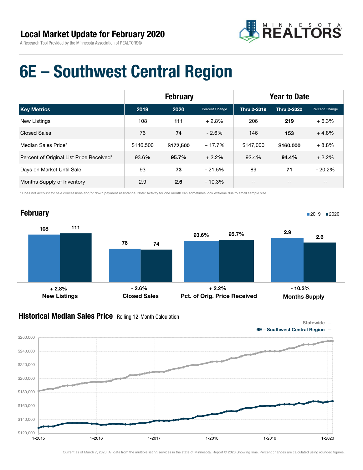

### 6E – Southwest Central Region

|                                          | <b>February</b> |           |                | <b>Year to Date</b> |             |                |
|------------------------------------------|-----------------|-----------|----------------|---------------------|-------------|----------------|
| <b>Key Metrics</b>                       | 2019            | 2020      | Percent Change | <b>Thru 2-2019</b>  | Thru 2-2020 | Percent Change |
| New Listings                             | 108             | 111       | $+2.8%$        | 206                 | 219         | $+6.3%$        |
| <b>Closed Sales</b>                      | 76              | 74        | $-2.6%$        | 146                 | 153         | $+4.8%$        |
| Median Sales Price*                      | \$146,500       | \$172,500 | $+17.7%$       | \$147,000           | \$160,000   | $+8.8%$        |
| Percent of Original List Price Received* | 93.6%           | 95.7%     | $+2.2%$        | 92.4%               | 94.4%       | $+2.2%$        |
| Days on Market Until Sale                | 93              | 73        | $-21.5%$       | 89                  | 71          | $-20.2%$       |
| Months Supply of Inventory               | 2.9             | 2.6       | $-10.3%$       | --                  | --          | --             |

\* Does not account for sale concessions and/or down payment assistance. Note: Activity for one month can sometimes look extreme due to small sample size.



#### Historical Median Sales Price Rolling 12-Month Calculation

Statewide —



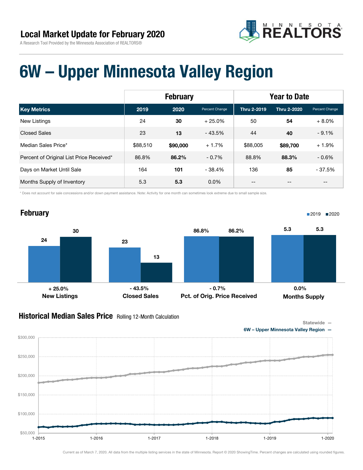



### 6W – Upper Minnesota Valley Region

|                                          | <b>February</b> |          |                | <b>Year to Date</b> |             |                |
|------------------------------------------|-----------------|----------|----------------|---------------------|-------------|----------------|
| <b>Key Metrics</b>                       | 2019            | 2020     | Percent Change | Thru 2-2019         | Thru 2-2020 | Percent Change |
| New Listings                             | 24              | 30       | $+25.0%$       | 50                  | 54          | $+8.0%$        |
| <b>Closed Sales</b>                      | 23              | 13       | $-43.5%$       | 44                  | 40          | $-9.1%$        |
| Median Sales Price*                      | \$88,510        | \$90,000 | $+1.7%$        | \$88,005            | \$89,700    | $+1.9%$        |
| Percent of Original List Price Received* | 86.8%           | 86.2%    | $-0.7\%$       | 88.8%               | 88.3%       | $-0.6%$        |
| Days on Market Until Sale                | 164             | 101      | $-38.4%$       | 136                 | 85          | $-37.5%$       |
| Months Supply of Inventory               | 5.3             | 5.3      | $0.0\%$        | --                  |             | --             |

\* Does not account for sale concessions and/or down payment assistance. Note: Activity for one month can sometimes look extreme due to small sample size.



#### Historical Median Sales Price Rolling 12-Month Calculation

Statewide —

6W – Upper Minnesota Valley Region —

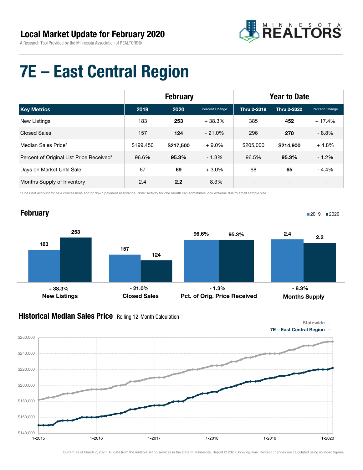

## 7E – East Central Region

|                                          |           | <b>February</b> |                | <b>Year to Date</b> |             |                                       |  |
|------------------------------------------|-----------|-----------------|----------------|---------------------|-------------|---------------------------------------|--|
| <b>Key Metrics</b>                       | 2019      | 2020            | Percent Change | <b>Thru 2-2019</b>  | Thru 2-2020 | Percent Change                        |  |
| New Listings                             | 183       | 253             | $+38.3%$       | 385                 | 452         | $+17.4%$                              |  |
| <b>Closed Sales</b>                      | 157       | 124             | $-21.0\%$      | 296                 | 270         | $-8.8%$                               |  |
| Median Sales Price*                      | \$199.450 | \$217,500       | $+9.0%$        | \$205,000           | \$214.900   | $+4.8%$                               |  |
| Percent of Original List Price Received* | 96.6%     | 95.3%           | $-1.3%$        | 96.5%               | 95.3%       | $-1.2%$                               |  |
| Days on Market Until Sale                | 67        | 69              | $+3.0%$        | 68                  | 65          | - 4.4%                                |  |
| Months Supply of Inventory               | 2.4       | 2.2             | $-8.3%$        | --                  | --          | $\hspace{0.05cm}$ – $\hspace{0.05cm}$ |  |

\* Does not account for sale concessions and/or down payment assistance. Note: Activity for one month can sometimes look extreme due to small sample size.



### Historical Median Sales Price Rolling 12-Month Calculation



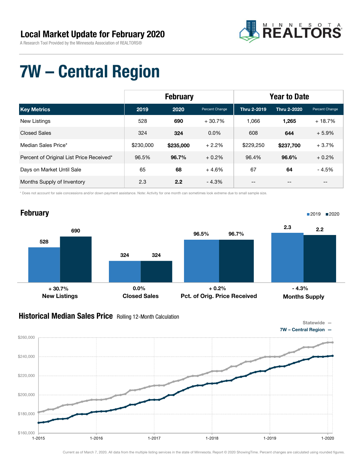

## 7W – Central Region

|                                          | <b>February</b> |           |                | <b>Year to Date</b> |             |                |
|------------------------------------------|-----------------|-----------|----------------|---------------------|-------------|----------------|
| <b>Key Metrics</b>                       | 2019            | 2020      | Percent Change | <b>Thru 2-2019</b>  | Thru 2-2020 | Percent Change |
| New Listings                             | 528             | 690       | $+30.7%$       | 1.066               | 1.265       | $+18.7%$       |
| <b>Closed Sales</b>                      | 324             | 324       | $0.0\%$        | 608                 | 644         | $+5.9%$        |
| Median Sales Price*                      | \$230,000       | \$235,000 | $+2.2%$        | \$229,250           | \$237,700   | $+3.7%$        |
| Percent of Original List Price Received* | 96.5%           | 96.7%     | $+0.2\%$       | 96.4%               | 96.6%       | $+0.2%$        |
| Days on Market Until Sale                | 65              | 68        | $+4.6%$        | 67                  | 64          | - 4.5%         |
| Months Supply of Inventory               | 2.3             | 2.2       | $-4.3%$        | --                  | --          | --             |

\* Does not account for sale concessions and/or down payment assistance. Note: Activity for one month can sometimes look extreme due to small sample size.



#### **Historical Median Sales Price** Rolling 12-Month Calculation



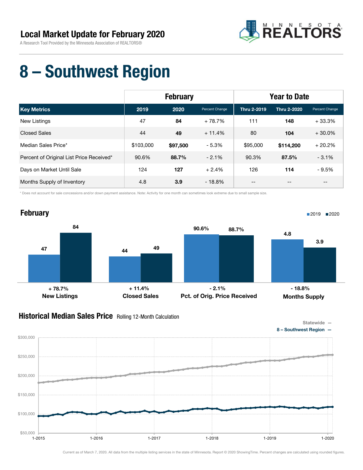

### 8 – Southwest Region

|                                          |           | <b>February</b> |                | <b>Year to Date</b> |             |                                       |
|------------------------------------------|-----------|-----------------|----------------|---------------------|-------------|---------------------------------------|
| <b>Key Metrics</b>                       | 2019      | 2020            | Percent Change | <b>Thru 2-2019</b>  | Thru 2-2020 | Percent Change                        |
| New Listings                             | 47        | 84              | $+78.7%$       | 111                 | 148         | $+33.3%$                              |
| <b>Closed Sales</b>                      | 44        | 49              | $+11.4%$       | 80                  | 104         | $+30.0%$                              |
| Median Sales Price*                      | \$103,000 | \$97,500        | $-5.3%$        | \$95,000            | \$114,200   | $+20.2%$                              |
| Percent of Original List Price Received* | 90.6%     | 88.7%           | $-2.1%$        | 90.3%               | 87.5%       | $-3.1%$                               |
| Days on Market Until Sale                | 124       | 127             | $+2.4%$        | 126                 | 114         | $-9.5%$                               |
| Months Supply of Inventory               | 4.8       | 3.9             | $-18.8\%$      | --                  | --          | $\hspace{0.05cm}$ – $\hspace{0.05cm}$ |

\* Does not account for sale concessions and/or down payment assistance. Note: Activity for one month can sometimes look extreme due to small sample size.



#### **Historical Median Sales Price** Rolling 12-Month Calculation



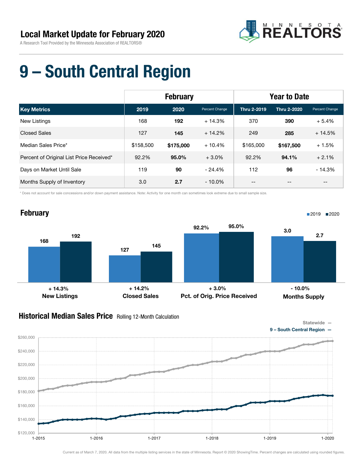

## 9 – South Central Region

| <b>February</b>                          |           |           |                | <b>Year to Date</b> |                    |                |
|------------------------------------------|-----------|-----------|----------------|---------------------|--------------------|----------------|
| <b>Key Metrics</b>                       | 2019      | 2020      | Percent Change | Thru 2-2019         | <b>Thru 2-2020</b> | Percent Change |
| New Listings                             | 168       | 192       | $+14.3%$       | 370                 | 390                | $+5.4%$        |
| <b>Closed Sales</b>                      | 127       | 145       | $+14.2%$       | 249                 | 285                | $+14.5%$       |
| Median Sales Price*                      | \$158,500 | \$175,000 | $+10.4%$       | \$165,000           | \$167,500          | $+1.5%$        |
| Percent of Original List Price Received* | 92.2%     | 95.0%     | $+3.0\%$       | 92.2%               | 94.1%              | $+2.1%$        |
| Days on Market Until Sale                | 119       | 90        | $-24.4%$       | 112                 | 96                 | $-14.3%$       |
| Months Supply of Inventory               | 3.0       | 2.7       | $-10.0\%$      | --                  |                    | --             |

\* Does not account for sale concessions and/or down payment assistance. Note: Activity for one month can sometimes look extreme due to small sample size.



#### Historical Median Sales Price Rolling 12-Month Calculation



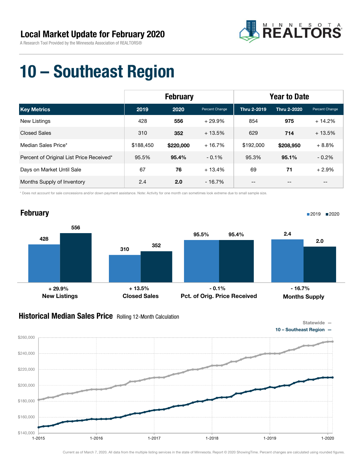

### 10 – Southeast Region

|                                          | <b>February</b> |           |                | <b>Year to Date</b> |             |                                       |
|------------------------------------------|-----------------|-----------|----------------|---------------------|-------------|---------------------------------------|
| <b>Key Metrics</b>                       | 2019            | 2020      | Percent Change | Thru 2-2019         | Thru 2-2020 | Percent Change                        |
| <b>New Listings</b>                      | 428             | 556       | $+29.9%$       | 854                 | 975         | $+14.2%$                              |
| <b>Closed Sales</b>                      | 310             | 352       | $+13.5%$       | 629                 | 714         | $+13.5%$                              |
| Median Sales Price*                      | \$188,450       | \$220,000 | $+16.7%$       | \$192,000           | \$208,950   | $+8.8%$                               |
| Percent of Original List Price Received* | 95.5%           | 95.4%     | $-0.1%$        | 95.3%               | 95.1%       | $-0.2%$                               |
| Days on Market Until Sale                | 67              | 76        | $+13.4%$       | 69                  | 71          | $+2.9%$                               |
| Months Supply of Inventory               | 2.4             | 2.0       | $-16.7%$       | --                  | --          | $\hspace{0.05cm}$ – $\hspace{0.05cm}$ |

\* Does not account for sale concessions and/or down payment assistance. Note: Activity for one month can sometimes look extreme due to small sample size.



#### **Historical Median Sales Price** Rolling 12-Month Calculation

\$140,000

\$160,000

\$180,000

\$200,000

\$220,000

\$240,000

\$260,000





Current as of March 7, 2020. All data from the multiple listing services in the state of Minnesota. Report © 2020 ShowingTime. Percent changes are calculated using rounded figures.